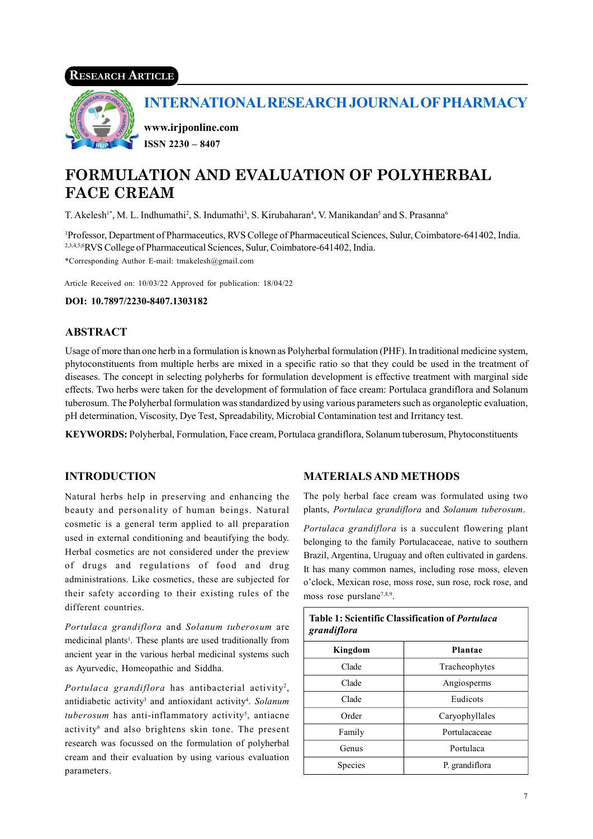# RESEARCH ARTICLE



INTERNATIONAL RESEARCH JOURNAL OF PHARMACY

www.irjponline.com ISSN 2230 – 8407

# FORMULATION AND EVALUATION OF POLYHERBAL FACE CREAM

T. Akelesh<sup>1\*</sup>, M. L. Indhumathi<sup>2</sup>, S. Indumathi<sup>3</sup>, S. Kirubaharan<sup>4</sup>, V. Manikandan<sup>5</sup> and S. Prasanna<sup>6</sup>

<sup>1</sup>Professor, Department of Pharmaceutics, RVS College of Pharmaceutical Sciences, Sulur, Coimbatore-641402, India. 2,3,4,5,6RVS College of Pharmaceutical Sciences, Sulur, Coimbatore-641402, India. \*Corresponding Author E-mail: tmakelesh@gmail.com

Article Received on: 10/03/22 Approved for publication: 18/04/22

DOI: 10.7897/2230-8407.1303182

# ABSTRACT

Usage of more than one herb in a formulation is known as Polyherbal formulation (PHF). In traditional medicine system, phytoconstituents from multiple herbs are mixed in a specific ratio so that they could be used in the treatment of diseases. The concept in selecting polyherbs for formulation development is effective treatment with marginal side effects. Two herbs were taken for the development of formulation of face cream: Portulaca grandiflora and Solanum tuberosum. The Polyherbal formulation was standardized by using various parameters such as organoleptic evaluation, pH determination, Viscosity, Dye Test, Spreadability, Microbial Contamination test and Irritancy test.

KEYWORDS: Polyherbal, Formulation, Face cream, Portulaca grandiflora, Solanum tuberosum, Phytoconstituents

# **INTRODUCTION**

Natural herbs help in preserving and enhancing the beauty and personality of human beings. Natural cosmetic is a general term applied to all preparation used in external conditioning and beautifying the body. Herbal cosmetics are not considered under the preview of drugs and regulations of food and drug administrations. Like cosmetics, these are subjected for their safety according to their existing rules of the different countries.

Portulaca grandiflora and Solanum tuberosum are medicinal plants<sup>1</sup>. These plants are used traditionally from ancient year in the various herbal medicinal systems such as Ayurvedic, Homeopathic and Siddha.

Portulaca grandiflora has antibacterial activity<sup>2</sup>, antidiabetic activity<sup>3</sup> and antioxidant activity<sup>4</sup>. Solanum  *has anti-inflammatory activity<sup>5</sup>, antiacne* activity<sup>6</sup> and also brightens skin tone. The present research was focussed on the formulation of polyherbal cream and their evaluation by using various evaluation parameters.

# MATERIALS AND METHODS

The poly herbal face cream was formulated using two plants, Portulaca grandiflora and Solanum tuberosum.

Portulaca grandiflora is a succulent flowering plant belonging to the family Portulacaceae, native to southern Brazil, Argentina, Uruguay and often cultivated in gardens. It has many common names, including rose moss, eleven o'clock, Mexican rose, moss rose, sun rose, rock rose, and moss rose purslane<sup>7,8,9</sup>.

| <b>Table 1: Scientific Classification of Portulaca</b><br>grandiflora |                |
|-----------------------------------------------------------------------|----------------|
| Kingdom                                                               | <b>Plantae</b> |
| Clade                                                                 | Tracheophytes  |
| Clade                                                                 | Angiosperms    |
| Clade                                                                 | Eudicots       |
| Order                                                                 | Caryophyllales |
| Family                                                                | Portulacaceae  |
| Genus                                                                 | Portulaca      |
| Species                                                               | P. grandiflora |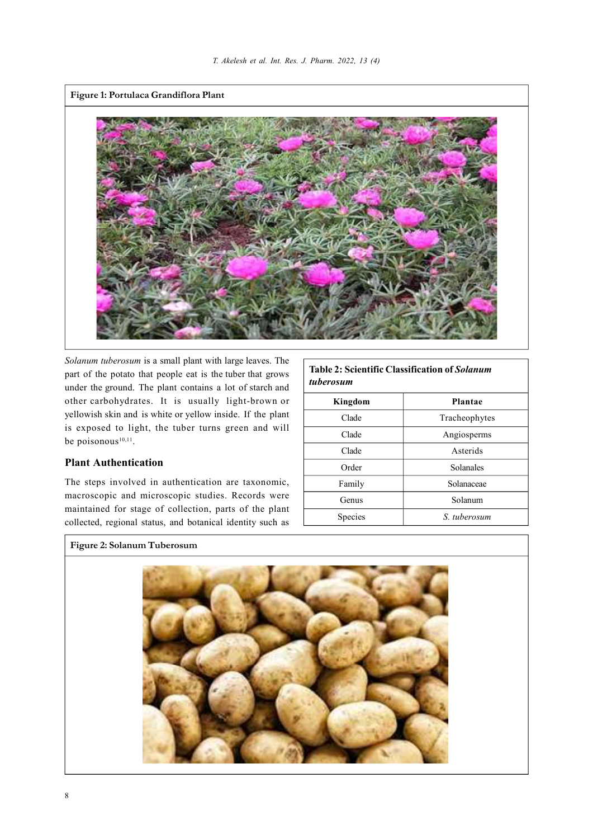

Solanum tuberosum is a small plant with large leaves. The part of the potato that people eat is the tuber that grows under the ground. The plant contains a lot of starch and other carbohydrates. It is usually light-brown or yellowish skin and is white or yellow inside. If the plant is exposed to light, the tuber turns green and will be poisonous $10,11$ .

# Plant Authentication

The steps involved in authentication are taxonomic, macroscopic and microscopic studies. Records were maintained for stage of collection, parts of the plant collected, regional status, and botanical identity such as

### Table 2: Scientific Classification of Solanum tuberosum

| Kingdom | Plantae       |
|---------|---------------|
| Clade   | Tracheophytes |
| Clade   | Angiosperms   |
| Clade   | Asterids      |
| Order   | Solanales     |
| Family  | Solanaceae    |
| Genus   | Solanum       |
| Species | S. tuberosum  |
|         |               |

# Figure 2: Solanum Tuberosum

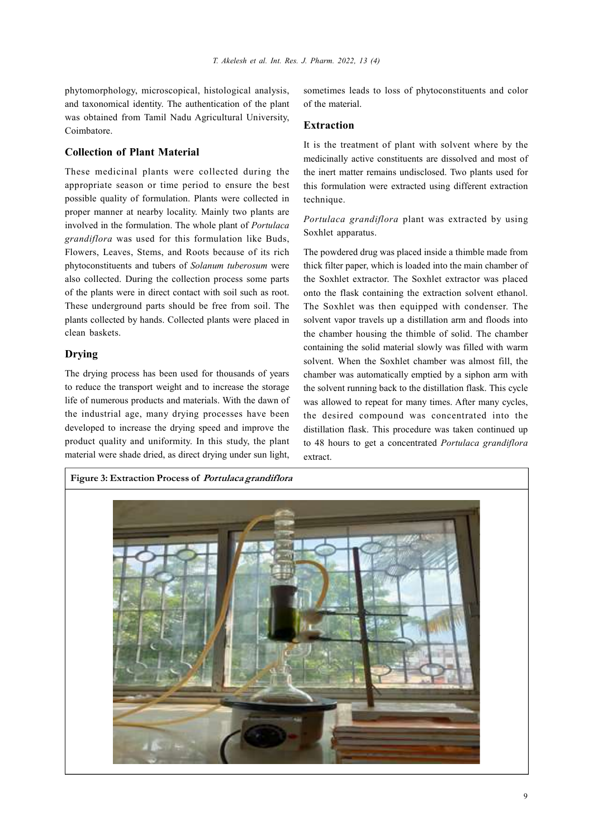phytomorphology, microscopical, histological analysis, and taxonomical identity. The authentication of the plant was obtained from Tamil Nadu Agricultural University, Coimbatore.

# Collection of Plant Material

These medicinal plants were collected during the appropriate season or time period to ensure the best possible quality of formulation. Plants were collected in proper manner at nearby locality. Mainly two plants are involved in the formulation. The whole plant of Portulaca grandiflora was used for this formulation like Buds, Flowers, Leaves, Stems, and Roots because of its rich phytoconstituents and tubers of Solanum tuberosum were also collected. During the collection process some parts of the plants were in direct contact with soil such as root. These underground parts should be free from soil. The plants collected by hands. Collected plants were placed in clean baskets.

# Drying

The drying process has been used for thousands of years to reduce the transport weight and to increase the storage life of numerous products and materials. With the dawn of the industrial age, many drying processes have been developed to increase the drying speed and improve the product quality and uniformity. In this study, the plant material were shade dried, as direct drying under sun light,

sometimes leads to loss of phytoconstituents and color of the material.

### Extraction

It is the treatment of plant with solvent where by the medicinally active constituents are dissolved and most of the inert matter remains undisclosed. Two plants used for this formulation were extracted using different extraction technique.

Portulaca grandiflora plant was extracted by using Soxhlet apparatus.

The powdered drug was placed inside a thimble made from thick filter paper, which is loaded into the main chamber of the Soxhlet extractor. The Soxhlet extractor was placed onto the flask containing the extraction solvent ethanol. The Soxhlet was then equipped with condenser. The solvent vapor travels up a distillation arm and floods into the chamber housing the thimble of solid. The chamber containing the solid material slowly was filled with warm solvent. When the Soxhlet chamber was almost fill, the chamber was automatically emptied by a siphon arm with the solvent running back to the distillation flask. This cycle was allowed to repeat for many times. After many cycles, the desired compound was concentrated into the distillation flask. This procedure was taken continued up to 48 hours to get a concentrated Portulaca grandiflora extract.

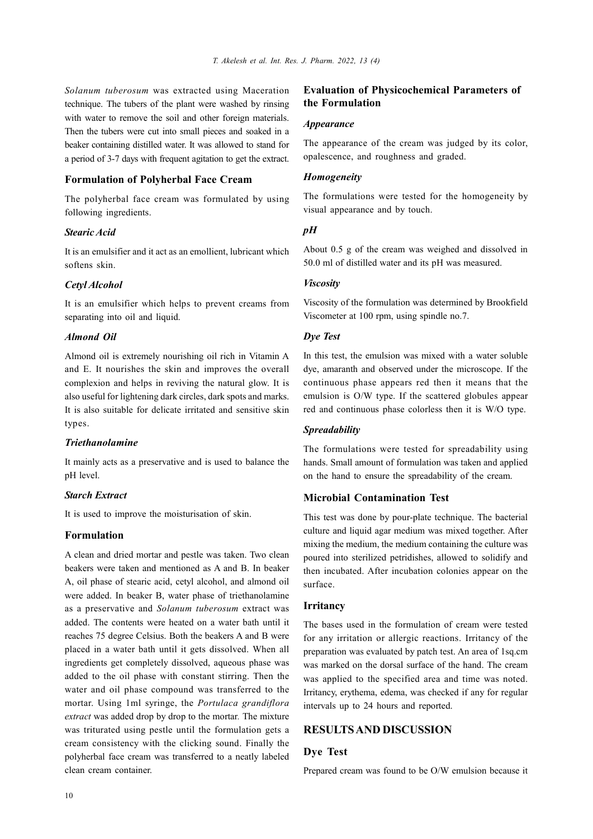Solanum tuberosum was extracted using Maceration technique. The tubers of the plant were washed by rinsing with water to remove the soil and other foreign materials. Then the tubers were cut into small pieces and soaked in a beaker containing distilled water. It was allowed to stand for a period of 3-7 days with frequent agitation to get the extract.

# Formulation of Polyherbal Face Cream

The polyherbal face cream was formulated by using following ingredients.

### Stearic Acid

It is an emulsifier and it act as an emollient, lubricant which softens skin.

#### Cetyl Alcohol

It is an emulsifier which helps to prevent creams from separating into oil and liquid.

#### Almond Oil

Almond oil is extremely nourishing oil rich in Vitamin A and E. It nourishes the skin and improves the overall complexion and helps in reviving the natural glow. It is also useful for lightening dark circles, dark spots and marks. It is also suitable for delicate irritated and sensitive skin types.

#### Triethanolamine

It mainly acts as a preservative and is used to balance the pH level.

### Starch Extract

It is used to improve the moisturisation of skin.

#### Formulation

A clean and dried mortar and pestle was taken. Two clean beakers were taken and mentioned as A and B. In beaker A, oil phase of stearic acid, cetyl alcohol, and almond oil were added. In beaker B, water phase of triethanolamine as a preservative and Solanum tuberosum extract was added. The contents were heated on a water bath until it reaches 75 degree Celsius. Both the beakers A and B were placed in a water bath until it gets dissolved. When all ingredients get completely dissolved, aqueous phase was added to the oil phase with constant stirring. Then the water and oil phase compound was transferred to the mortar. Using 1ml syringe, the Portulaca grandiflora extract was added drop by drop to the mortar. The mixture was triturated using pestle until the formulation gets a cream consistency with the clicking sound. Finally the polyherbal face cream was transferred to a neatly labeled clean cream container.

# Evaluation of Physicochemical Parameters of the Formulation

#### **Appearance**

The appearance of the cream was judged by its color, opalescence, and roughness and graded.

#### Homogeneity

The formulations were tested for the homogeneity by visual appearance and by touch.

#### $pH$

About 0.5 g of the cream was weighed and dissolved in 50.0 ml of distilled water and its pH was measured.

#### **Viscosity**

Viscosity of the formulation was determined by Brookfield Viscometer at 100 rpm, using spindle no.7.

### Dye Test

In this test, the emulsion was mixed with a water soluble dye, amaranth and observed under the microscope. If the continuous phase appears red then it means that the emulsion is O/W type. If the scattered globules appear red and continuous phase colorless then it is W/O type.

#### **Spreadability**

The formulations were tested for spreadability using hands. Small amount of formulation was taken and applied on the hand to ensure the spreadability of the cream.

# Microbial Contamination Test

This test was done by pour-plate technique. The bacterial culture and liquid agar medium was mixed together. After mixing the medium, the medium containing the culture was poured into sterilized petridishes, allowed to solidify and then incubated. After incubation colonies appear on the surface.

#### **Irritancy**

The bases used in the formulation of cream were tested for any irritation or allergic reactions. Irritancy of the preparation was evaluated by patch test. An area of 1sq.cm was marked on the dorsal surface of the hand. The cream was applied to the specified area and time was noted. Irritancy, erythema, edema, was checked if any for regular intervals up to 24 hours and reported.

# RESULTS AND DISCUSSION

# Dye Test

Prepared cream was found to be O/W emulsion because it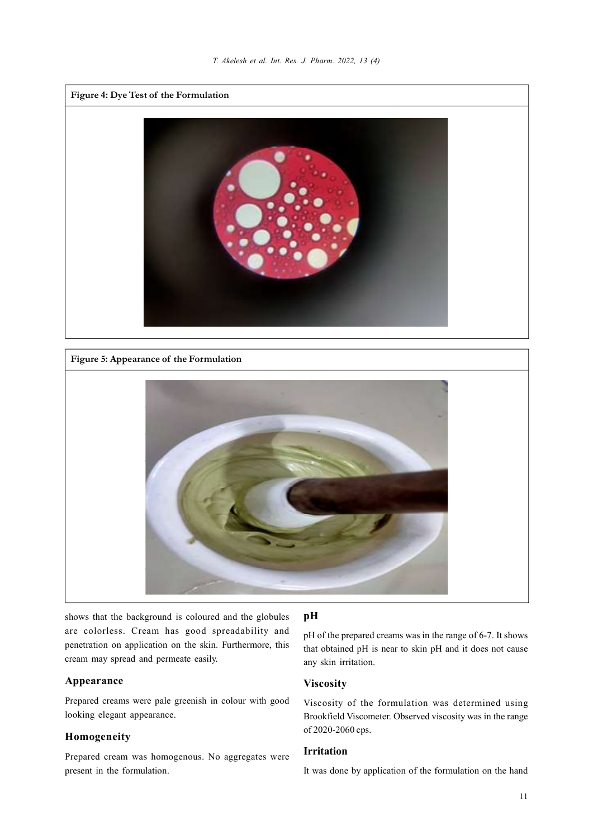

Figure 5: Appearance of the Formulation



shows that the background is coloured and the globules are colorless. Cream has good spreadability and penetration on application on the skin. Furthermore, this cream may spread and permeate easily.

# Appearance

Prepared creams were pale greenish in colour with good looking elegant appearance.

# Homogeneity

Prepared cream was homogenous. No aggregates were present in the formulation.

# pH

pH of the prepared creams was in the range of 6-7. It shows that obtained pH is near to skin pH and it does not cause any skin irritation.

# Viscosity

Viscosity of the formulation was determined using Brookfield Viscometer. Observed viscosity was in the range of 2020-2060 cps.

# Irritation

It was done by application of the formulation on the hand